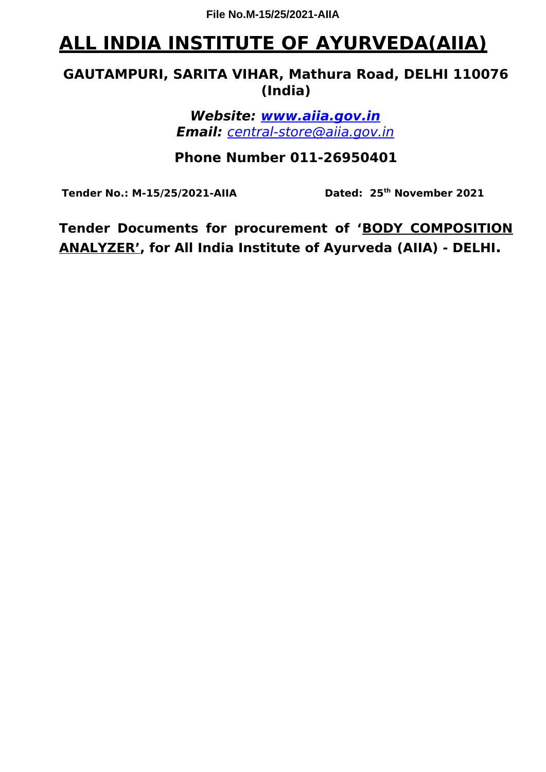# **ALL INDIA INSTITUTE OF AYURVEDA(AIIA)**

## **GAUTAMPURI, SARITA VIHAR, Mathura Road, DELHI 110076 (India)**

**Website: www.aiia.gov.in Email:** [central-store@aiia.gov.in](mailto:central-store@aiia.gov.in)

## **Phone Number 011-26950401**

**Tender No.: M-15/25/2021-AIIA Dated: 25th November 2021**

**Tender Documents for procurement of 'BODY COMPOSITION ANALYZER', for All India Institute of Ayurveda (AIIA) - DELHI.**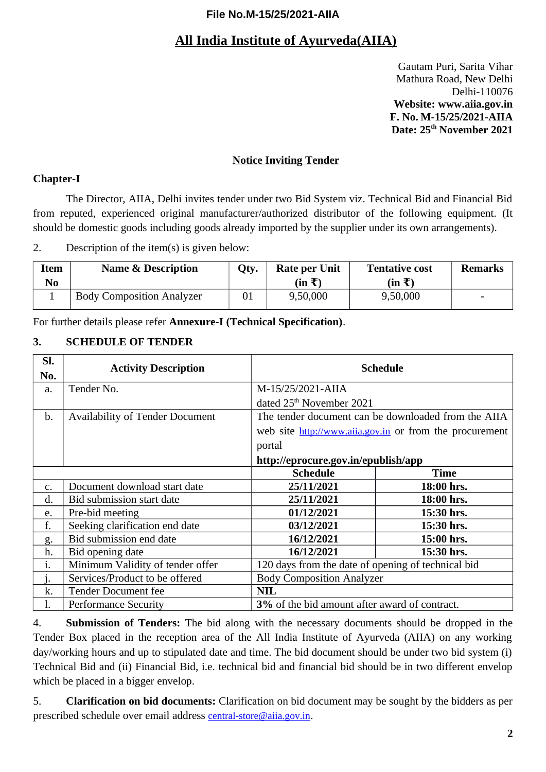## **All India Institute of Ayurveda(AIIA)**

Gautam Puri, Sarita Vihar Mathura Road, New Delhi Delhi-110076 **Website: www.aiia.gov.in F. No. M-15/25/2021-AIIA Date: 25th November 2021**

#### **Notice Inviting Tender**

#### **Chapter-I**

The Director, AIIA, Delhi invites tender under two Bid System viz. Technical Bid and Financial Bid from reputed, experienced original manufacturer/authorized distributor of the following equipment. (It should be domestic goods including goods already imported by the supplier under its own arrangements).

2. Description of the item(s) is given below:

| Item<br>No | <b>Name &amp; Description</b>    | Qty. | <b>Rate per Unit</b><br>$(in \bar{t})$ | <b>Tentative cost</b><br>(in ₹) | Remarks |
|------------|----------------------------------|------|----------------------------------------|---------------------------------|---------|
|            | <b>Body Composition Analyzer</b> | 01   | 9,50,000                               | 9,50,000                        |         |

For further details please refer **Annexure-I (Technical Specification)**.

#### **3. SCHEDULE OF TENDER**

| SI.<br>No.    | <b>Activity Description</b>                                                            |                                               | <b>Schedule</b>                                         |  |  |
|---------------|----------------------------------------------------------------------------------------|-----------------------------------------------|---------------------------------------------------------|--|--|
| a.            | Tender No.                                                                             | M-15/25/2021-AIIA                             |                                                         |  |  |
|               |                                                                                        | dated 25 <sup>th</sup> November 2021          |                                                         |  |  |
| $\mathbf b$ . | <b>Availability of Tender Document</b>                                                 |                                               | The tender document can be downloaded from the AIIA     |  |  |
|               |                                                                                        |                                               | web site http://www.aiia.gov.in or from the procurement |  |  |
|               |                                                                                        | portal                                        |                                                         |  |  |
|               |                                                                                        | http://eprocure.gov.in/epublish/app           |                                                         |  |  |
|               |                                                                                        | <b>Schedule</b>                               | <b>Time</b>                                             |  |  |
| $C_{\bullet}$ | Document download start date                                                           | 25/11/2021                                    | 18:00 hrs.                                              |  |  |
| d.            | Bid submission start date                                                              | 25/11/2021                                    | 18:00 hrs.                                              |  |  |
| e.            | Pre-bid meeting                                                                        | 01/12/2021                                    | 15:30 hrs.                                              |  |  |
| f.            | Seeking clarification end date                                                         | 03/12/2021                                    | 15:30 hrs.                                              |  |  |
| g.            | Bid submission end date                                                                | 16/12/2021                                    | 15:00 hrs.                                              |  |  |
| h.            | Bid opening date                                                                       | 16/12/2021                                    | 15:30 hrs.                                              |  |  |
| i.            | Minimum Validity of tender offer<br>120 days from the date of opening of technical bid |                                               |                                                         |  |  |
|               | Services/Product to be offered                                                         | <b>Body Composition Analyzer</b>              |                                                         |  |  |
| k.            | <b>Tender Document fee</b>                                                             | <b>NIL</b>                                    |                                                         |  |  |
|               | <b>Performance Security</b>                                                            | 3% of the bid amount after award of contract. |                                                         |  |  |

4. **Submission of Tenders:** The bid along with the necessary documents should be dropped in the Tender Box placed in the reception area of the All India Institute of Ayurveda (AIIA) on any working day/working hours and up to stipulated date and time. The bid document should be under two bid system (i) Technical Bid and (ii) Financial Bid, i.e. technical bid and financial bid should be in two different envelop which be placed in a bigger envelop.

5. **Clarification on bid documents:** Clarification on bid document may be sought by the bidders as per prescribed schedule over email address [central-store@aiia.gov.in](mailto:central-store@aiia.gov.in).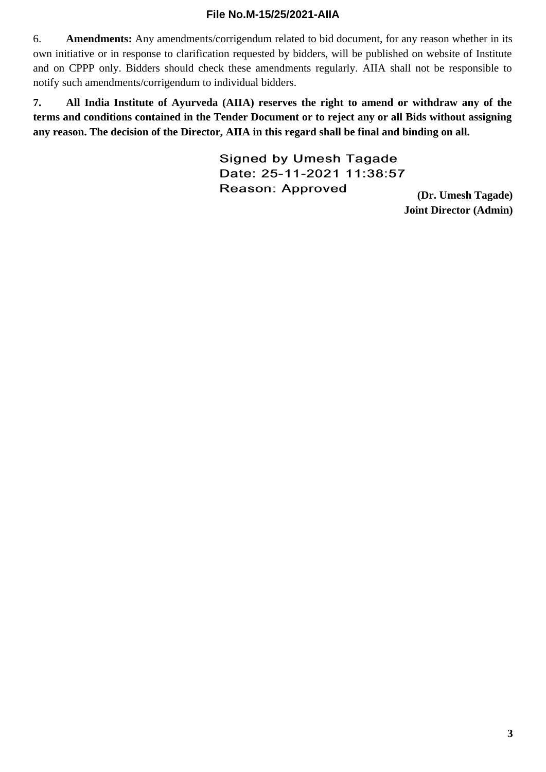6. **Amendments:** Any amendments/corrigendum related to bid document, for any reason whether in its own initiative or in response to clarification requested by bidders, will be published on website of Institute and on CPPP only. Bidders should check these amendments regularly. AIIA shall not be responsible to notify such amendments/corrigendum to individual bidders.

**7. All India Institute of Ayurveda (AIIA) reserves the right to amend or withdraw any of the terms and conditions contained in the Tender Document or to reject any or all Bids without assigning any reason. The decision of the Director, AIIA in this regard shall be final and binding on all.**

> **Signed by Umesh Tagade** Date: 25-11-2021 11:38:57 Reason: Approved

**(Dr. Umesh Tagade) Joint Director (Admin)**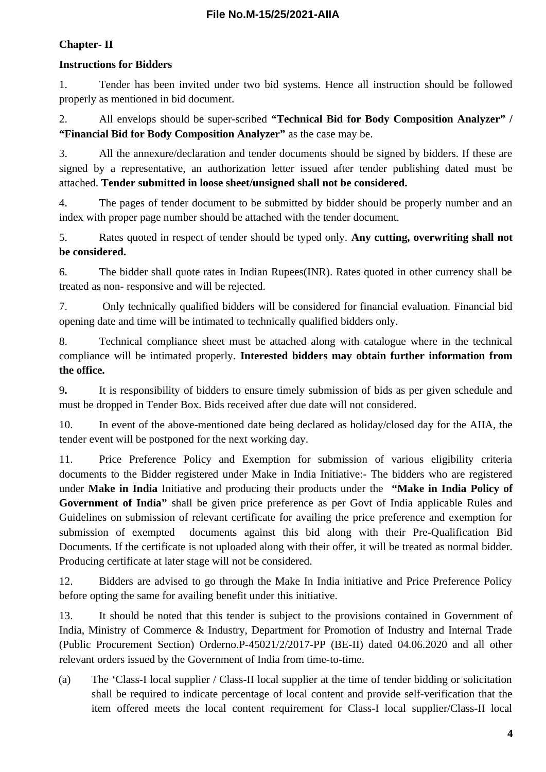### **Chapter- II**

### **Instructions for Bidders**

1. Tender has been invited under two bid systems. Hence all instruction should be followed properly as mentioned in bid document.

2. All envelops should be super-scribed **"Technical Bid for Body Composition Analyzer" / "Financial Bid for Body Composition Analyzer"** as the case may be.

3. All the annexure/declaration and tender documents should be signed by bidders. If these are signed by a representative, an authorization letter issued after tender publishing dated must be attached. **Tender submitted in loose sheet/unsigned shall not be considered.**

4. The pages of tender document to be submitted by bidder should be properly number and an index with proper page number should be attached with the tender document.

5. Rates quoted in respect of tender should be typed only. **Any cutting, overwriting shall not be considered.**

6. The bidder shall quote rates in Indian Rupees(INR). Rates quoted in other currency shall be treated as non- responsive and will be rejected.

7. Only technically qualified bidders will be considered for financial evaluation. Financial bid opening date and time will be intimated to technically qualified bidders only.

8. Technical compliance sheet must be attached along with catalogue where in the technical compliance will be intimated properly. **Interested bidders may obtain further information from the office.**

9**.** It is responsibility of bidders to ensure timely submission of bids as per given schedule and must be dropped in Tender Box. Bids received after due date will not considered.

10. In event of the above-mentioned date being declared as holiday/closed day for the AIIA, the tender event will be postponed for the next working day.

11. Price Preference Policy and Exemption for submission of various eligibility criteria documents to the Bidder registered under Make in India Initiative:- The bidders who are registered under **Make in India** Initiative and producing their products under the **"Make in India Policy of Government of India"** shall be given price preference as per Govt of India applicable Rules and Guidelines on submission of relevant certificate for availing the price preference and exemption for submission of exempted documents against this bid along with their Pre-Qualification Bid Documents. If the certificate is not uploaded along with their offer, it will be treated as normal bidder. Producing certificate at later stage will not be considered.

12. Bidders are advised to go through the Make In India initiative and Price Preference Policy before opting the same for availing benefit under this initiative.

13. It should be noted that this tender is subject to the provisions contained in Government of India, Ministry of Commerce & Industry, Department for Promotion of Industry and Internal Trade (Public Procurement Section) Orderno.P-45021/2/2017-PP (BE-II) dated 04.06.2020 and all other relevant orders issued by the Government of India from time-to-time.

(a) The 'Class-I local supplier / Class-II local supplier at the time of tender bidding or solicitation shall be required to indicate percentage of local content and provide self-verification that the item offered meets the local content requirement for Class-I local supplier/Class-II local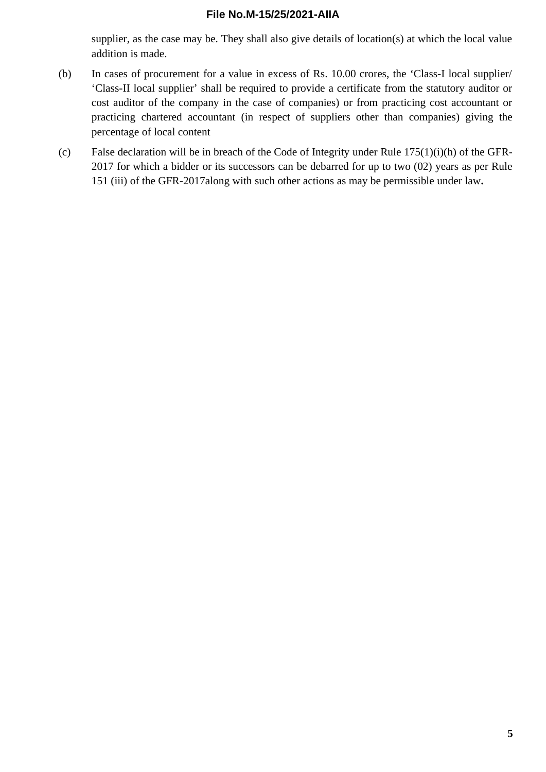supplier, as the case may be. They shall also give details of location(s) at which the local value addition is made.

- (b) In cases of procurement for a value in excess of Rs. 10.00 crores, the 'Class-I local supplier/ 'Class-II local supplier' shall be required to provide a certificate from the statutory auditor or cost auditor of the company in the case of companies) or from practicing cost accountant or practicing chartered accountant (in respect of suppliers other than companies) giving the percentage of local content
- (c) False declaration will be in breach of the Code of Integrity under Rule 175(1)(i)(h) of the GFR-2017 for which a bidder or its successors can be debarred for up to two (02) years as per Rule 151 (iii) of the GFR-2017along with such other actions as may be permissible under law**.**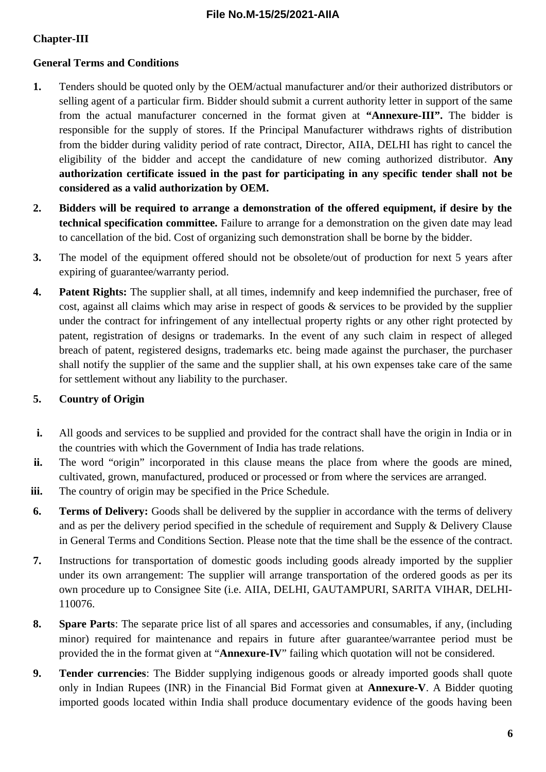### **Chapter-III**

### **General Terms and Conditions**

- **1.** Tenders should be quoted only by the OEM/actual manufacturer and/or their authorized distributors or selling agent of a particular firm. Bidder should submit a current authority letter in support of the same from the actual manufacturer concerned in the format given at **"Annexure-III".** The bidder is responsible for the supply of stores. If the Principal Manufacturer withdraws rights of distribution from the bidder during validity period of rate contract, Director, AIIA, DELHI has right to cancel the eligibility of the bidder and accept the candidature of new coming authorized distributor. **Any authorization certificate issued in the past for participating in any specific tender shall not be considered as a valid authorization by OEM.**
- **2. Bidders will be required to arrange a demonstration of the offered equipment, if desire by the technical specification committee.** Failure to arrange for a demonstration on the given date may lead to cancellation of the bid. Cost of organizing such demonstration shall be borne by the bidder.
- **3.** The model of the equipment offered should not be obsolete/out of production for next 5 years after expiring of guarantee/warranty period.
- **4. Patent Rights:** The supplier shall, at all times, indemnify and keep indemnified the purchaser, free of cost, against all claims which may arise in respect of goods & services to be provided by the supplier under the contract for infringement of any intellectual property rights or any other right protected by patent, registration of designs or trademarks. In the event of any such claim in respect of alleged breach of patent, registered designs, trademarks etc. being made against the purchaser, the purchaser shall notify the supplier of the same and the supplier shall, at his own expenses take care of the same for settlement without any liability to the purchaser.

### **5. Country of Origin**

- **i.** All goods and services to be supplied and provided for the contract shall have the origin in India or in the countries with which the Government of India has trade relations.
- **ii.** The word "origin" incorporated in this clause means the place from where the goods are mined, cultivated, grown, manufactured, produced or processed or from where the services are arranged.
- **iii.** The country of origin may be specified in the Price Schedule.
- **6. Terms of Delivery:** Goods shall be delivered by the supplier in accordance with the terms of delivery and as per the delivery period specified in the schedule of requirement and Supply & Delivery Clause in General Terms and Conditions Section. Please note that the time shall be the essence of the contract.
- **7.** Instructions for transportation of domestic goods including goods already imported by the supplier under its own arrangement: The supplier will arrange transportation of the ordered goods as per its own procedure up to Consignee Site (i.e. AIIA, DELHI, GAUTAMPURI, SARITA VIHAR, DELHI-110076.
- **8. Spare Parts**: The separate price list of all spares and accessories and consumables, if any, (including minor) required for maintenance and repairs in future after guarantee/warrantee period must be provided the in the format given at "**Annexure-IV**" failing which quotation will not be considered.
- **9. Tender currencies**: The Bidder supplying indigenous goods or already imported goods shall quote only in Indian Rupees (INR) in the Financial Bid Format given at **Annexure-V**. A Bidder quoting imported goods located within India shall produce documentary evidence of the goods having been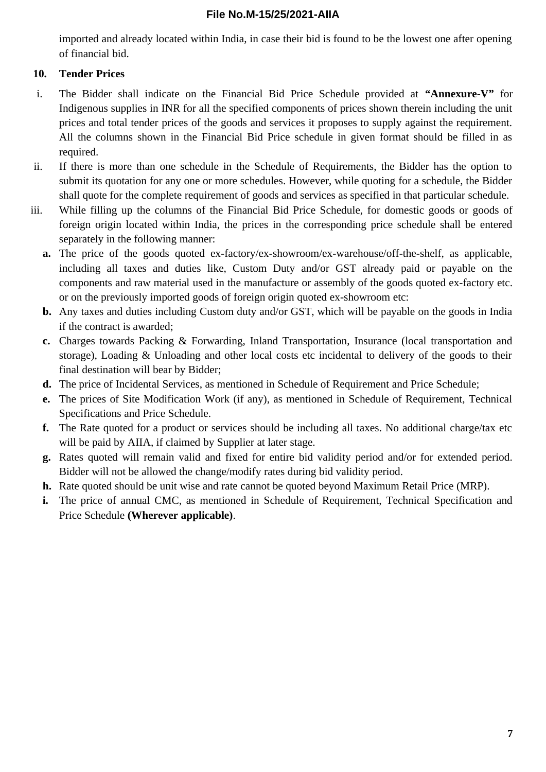imported and already located within India, in case their bid is found to be the lowest one after opening of financial bid.

### **10. Tender Prices**

- i. The Bidder shall indicate on the Financial Bid Price Schedule provided at **"Annexure-V"** for Indigenous supplies in INR for all the specified components of prices shown therein including the unit prices and total tender prices of the goods and services it proposes to supply against the requirement. All the columns shown in the Financial Bid Price schedule in given format should be filled in as required.
- ii. If there is more than one schedule in the Schedule of Requirements, the Bidder has the option to submit its quotation for any one or more schedules. However, while quoting for a schedule, the Bidder shall quote for the complete requirement of goods and services as specified in that particular schedule.
- iii. While filling up the columns of the Financial Bid Price Schedule, for domestic goods or goods of foreign origin located within India, the prices in the corresponding price schedule shall be entered separately in the following manner:
	- **a.** The price of the goods quoted ex-factory/ex-showroom/ex-warehouse/off-the-shelf, as applicable, including all taxes and duties like, Custom Duty and/or GST already paid or payable on the components and raw material used in the manufacture or assembly of the goods quoted ex-factory etc. or on the previously imported goods of foreign origin quoted ex-showroom etc:
	- **b.** Any taxes and duties including Custom duty and/or GST, which will be payable on the goods in India if the contract is awarded;
	- **c.** Charges towards Packing & Forwarding, Inland Transportation, Insurance (local transportation and storage), Loading & Unloading and other local costs etc incidental to delivery of the goods to their final destination will bear by Bidder;
	- **d.** The price of Incidental Services, as mentioned in Schedule of Requirement and Price Schedule;
	- **e.** The prices of Site Modification Work (if any), as mentioned in Schedule of Requirement, Technical Specifications and Price Schedule.
	- **f.** The Rate quoted for a product or services should be including all taxes. No additional charge/tax etc will be paid by AIIA, if claimed by Supplier at later stage.
	- **g.** Rates quoted will remain valid and fixed for entire bid validity period and/or for extended period. Bidder will not be allowed the change/modify rates during bid validity period.
	- **h.** Rate quoted should be unit wise and rate cannot be quoted beyond Maximum Retail Price (MRP).
	- **i.** The price of annual CMC, as mentioned in Schedule of Requirement, Technical Specification and Price Schedule **(Wherever applicable)**.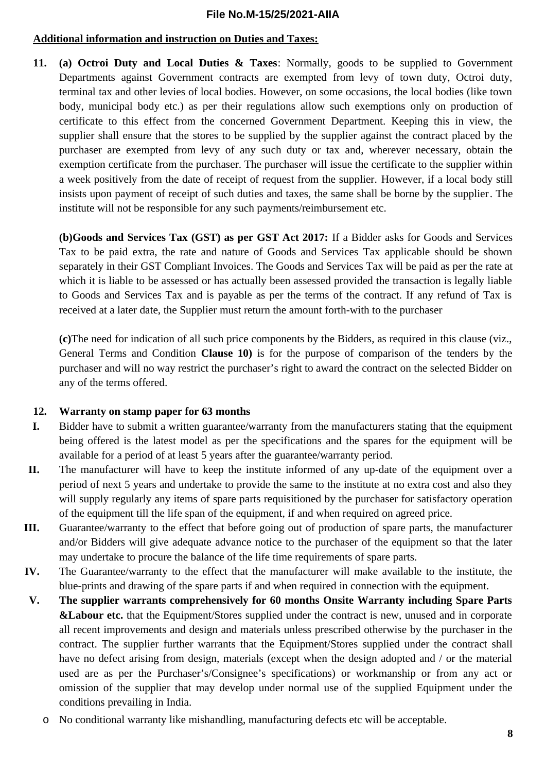#### **Additional information and instruction on Duties and Taxes:**

**11. (a) Octroi Duty and Local Duties & Taxes**: Normally, goods to be supplied to Government Departments against Government contracts are exempted from levy of town duty, Octroi duty, terminal tax and other levies of local bodies. However, on some occasions, the local bodies (like town body, municipal body etc.) as per their regulations allow such exemptions only on production of certificate to this effect from the concerned Government Department. Keeping this in view, the supplier shall ensure that the stores to be supplied by the supplier against the contract placed by the purchaser are exempted from levy of any such duty or tax and, wherever necessary, obtain the exemption certificate from the purchaser. The purchaser will issue the certificate to the supplier within a week positively from the date of receipt of request from the supplier. However, if a local body still insists upon payment of receipt of such duties and taxes, the same shall be borne by the supplier. The institute will not be responsible for any such payments/reimbursement etc.

**(b)Goods and Services Tax (GST) as per GST Act 2017:** If a Bidder asks for Goods and Services Tax to be paid extra, the rate and nature of Goods and Services Tax applicable should be shown separately in their GST Compliant Invoices. The Goods and Services Tax will be paid as per the rate at which it is liable to be assessed or has actually been assessed provided the transaction is legally liable to Goods and Services Tax and is payable as per the terms of the contract. If any refund of Tax is received at a later date, the Supplier must return the amount forth-with to the purchaser

**(c)**The need for indication of all such price components by the Bidders, as required in this clause (viz., General Terms and Condition **Clause 10)** is for the purpose of comparison of the tenders by the purchaser and will no way restrict the purchaser's right to award the contract on the selected Bidder on any of the terms offered.

#### **12. Warranty on stamp paper for 63 months**

- **I.** Bidder have to submit a written guarantee/warranty from the manufacturers stating that the equipment being offered is the latest model as per the specifications and the spares for the equipment will be available for a period of at least 5 years after the guarantee/warranty period.
- **II.** The manufacturer will have to keep the institute informed of any up-date of the equipment over a period of next 5 years and undertake to provide the same to the institute at no extra cost and also they will supply regularly any items of spare parts requisitioned by the purchaser for satisfactory operation of the equipment till the life span of the equipment, if and when required on agreed price.
- **III.** Guarantee/warranty to the effect that before going out of production of spare parts, the manufacturer and/or Bidders will give adequate advance notice to the purchaser of the equipment so that the later may undertake to procure the balance of the life time requirements of spare parts.
- **IV.** The Guarantee/warranty to the effect that the manufacturer will make available to the institute, the blue-prints and drawing of the spare parts if and when required in connection with the equipment.
- **V. The supplier warrants comprehensively for 60 months Onsite Warranty including Spare Parts &Labour etc.** that the Equipment/Stores supplied under the contract is new, unused and in corporate all recent improvements and design and materials unless prescribed otherwise by the purchaser in the contract. The supplier further warrants that the Equipment/Stores supplied under the contract shall have no defect arising from design, materials (except when the design adopted and / or the material used are as per the Purchaser's/Consignee's specifications) or workmanship or from any act or omission of the supplier that may develop under normal use of the supplied Equipment under the conditions prevailing in India.
	- o No conditional warranty like mishandling, manufacturing defects etc will be acceptable.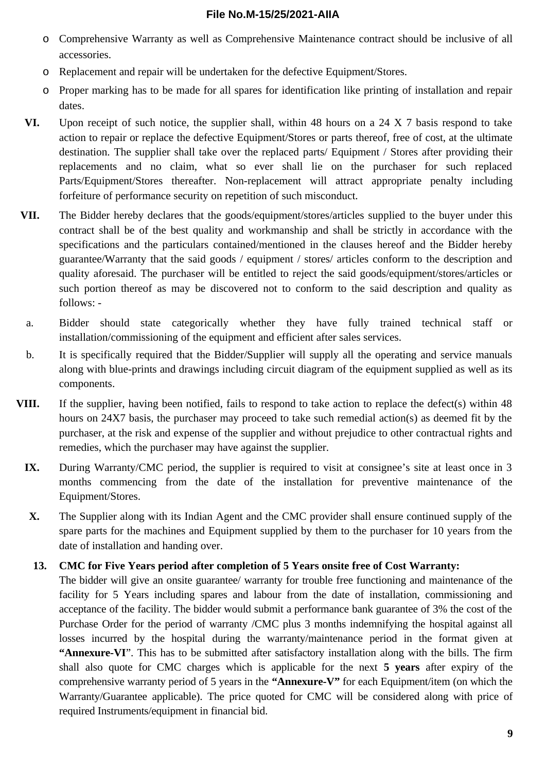- o Comprehensive Warranty as well as Comprehensive Maintenance contract should be inclusive of all accessories.
- o Replacement and repair will be undertaken for the defective Equipment/Stores.
- o Proper marking has to be made for all spares for identification like printing of installation and repair dates.
- **VI.** Upon receipt of such notice, the supplier shall, within 48 hours on a 24 X 7 basis respond to take action to repair or replace the defective Equipment/Stores or parts thereof, free of cost, at the ultimate destination. The supplier shall take over the replaced parts/ Equipment / Stores after providing their replacements and no claim, what so ever shall lie on the purchaser for such replaced Parts/Equipment/Stores thereafter. Non-replacement will attract appropriate penalty including forfeiture of performance security on repetition of such misconduct.
- **VII.** The Bidder hereby declares that the goods/equipment/stores/articles supplied to the buyer under this contract shall be of the best quality and workmanship and shall be strictly in accordance with the specifications and the particulars contained/mentioned in the clauses hereof and the Bidder hereby guarantee/Warranty that the said goods / equipment / stores/ articles conform to the description and quality aforesaid. The purchaser will be entitled to reject the said goods/equipment/stores/articles or such portion thereof as may be discovered not to conform to the said description and quality as follows: -
- a. Bidder should state categorically whether they have fully trained technical staff or installation/commissioning of the equipment and efficient after sales services.
- b. It is specifically required that the Bidder/Supplier will supply all the operating and service manuals along with blue-prints and drawings including circuit diagram of the equipment supplied as well as its components.
- **VIII.** If the supplier, having been notified, fails to respond to take action to replace the defect(s) within 48 hours on 24X7 basis, the purchaser may proceed to take such remedial action(s) as deemed fit by the purchaser, at the risk and expense of the supplier and without prejudice to other contractual rights and remedies, which the purchaser may have against the supplier.
	- **IX.** During Warranty/CMC period, the supplier is required to visit at consignee's site at least once in 3 months commencing from the date of the installation for preventive maintenance of the Equipment/Stores.
	- **X.** The Supplier along with its Indian Agent and the CMC provider shall ensure continued supply of the spare parts for the machines and Equipment supplied by them to the purchaser for 10 years from the date of installation and handing over.

#### **13. CMC for Five Years period after completion of 5 Years onsite free of Cost Warranty:**

The bidder will give an onsite guarantee/ warranty for trouble free functioning and maintenance of the facility for 5 Years including spares and labour from the date of installation, commissioning and acceptance of the facility. The bidder would submit a performance bank guarantee of 3% the cost of the Purchase Order for the period of warranty /CMC plus 3 months indemnifying the hospital against all losses incurred by the hospital during the warranty/maintenance period in the format given at **"Annexure-VI**". This has to be submitted after satisfactory installation along with the bills. The firm shall also quote for CMC charges which is applicable for the next **5 years** after expiry of the comprehensive warranty period of 5 years in the **"Annexure-V"** for each Equipment/item (on which the Warranty/Guarantee applicable). The price quoted for CMC will be considered along with price of required Instruments/equipment in financial bid.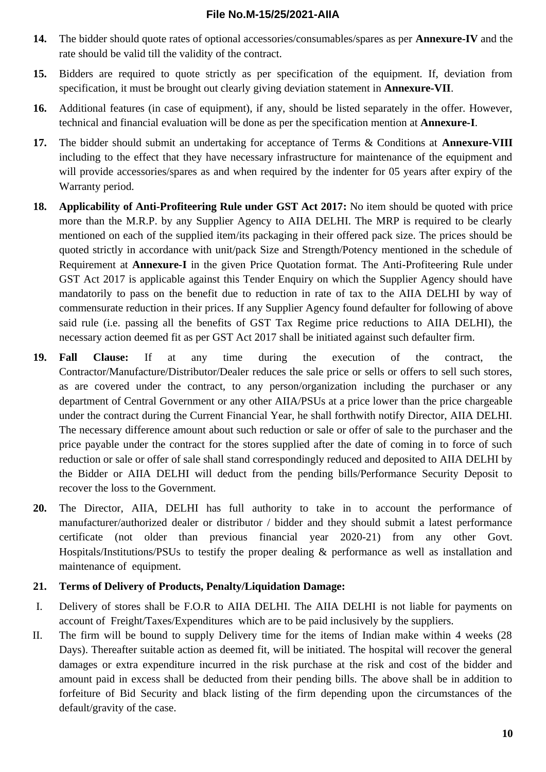- **14.** The bidder should quote rates of optional accessories/consumables/spares as per **Annexure-IV** and the rate should be valid till the validity of the contract.
- **15.** Bidders are required to quote strictly as per specification of the equipment. If, deviation from specification, it must be brought out clearly giving deviation statement in **Annexure-VII**.
- **16.** Additional features (in case of equipment), if any, should be listed separately in the offer. However, technical and financial evaluation will be done as per the specification mention at **Annexure-I**.
- **17.** The bidder should submit an undertaking for acceptance of Terms & Conditions at **Annexure-VIII** including to the effect that they have necessary infrastructure for maintenance of the equipment and will provide accessories/spares as and when required by the indenter for 05 years after expiry of the Warranty period.
- **18. Applicability of Anti-Profiteering Rule under GST Act 2017:** No item should be quoted with price more than the M.R.P. by any Supplier Agency to AIIA DELHI. The MRP is required to be clearly mentioned on each of the supplied item/its packaging in their offered pack size. The prices should be quoted strictly in accordance with unit/pack Size and Strength/Potency mentioned in the schedule of Requirement at **Annexure-I** in the given Price Quotation format. The Anti-Profiteering Rule under GST Act 2017 is applicable against this Tender Enquiry on which the Supplier Agency should have mandatorily to pass on the benefit due to reduction in rate of tax to the AIIA DELHI by way of commensurate reduction in their prices. If any Supplier Agency found defaulter for following of above said rule (i.e. passing all the benefits of GST Tax Regime price reductions to AIIA DELHI), the necessary action deemed fit as per GST Act 2017 shall be initiated against such defaulter firm.
- **19. Fall Clause:** If at any time during the execution of the contract, the Contractor/Manufacture/Distributor/Dealer reduces the sale price or sells or offers to sell such stores, as are covered under the contract, to any person/organization including the purchaser or any department of Central Government or any other AIIA/PSUs at a price lower than the price chargeable under the contract during the Current Financial Year, he shall forthwith notify Director, AIIA DELHI. The necessary difference amount about such reduction or sale or offer of sale to the purchaser and the price payable under the contract for the stores supplied after the date of coming in to force of such reduction or sale or offer of sale shall stand correspondingly reduced and deposited to AIIA DELHI by the Bidder or AIIA DELHI will deduct from the pending bills/Performance Security Deposit to recover the loss to the Government.
- **20.** The Director, AIIA, DELHI has full authority to take in to account the performance of manufacturer/authorized dealer or distributor / bidder and they should submit a latest performance certificate (not older than previous financial year 2020-21) from any other Govt. Hospitals/Institutions/PSUs to testify the proper dealing & performance as well as installation and maintenance of equipment.

### **21. Terms of Delivery of Products, Penalty/Liquidation Damage:**

- I. Delivery of stores shall be F.O.R to AIIA DELHI. The AIIA DELHI is not liable for payments on account of Freight/Taxes/Expenditures which are to be paid inclusively by the suppliers.
- II. The firm will be bound to supply Delivery time for the items of Indian make within 4 weeks (28 Days). Thereafter suitable action as deemed fit, will be initiated. The hospital will recover the general damages or extra expenditure incurred in the risk purchase at the risk and cost of the bidder and amount paid in excess shall be deducted from their pending bills. The above shall be in addition to forfeiture of Bid Security and black listing of the firm depending upon the circumstances of the default/gravity of the case.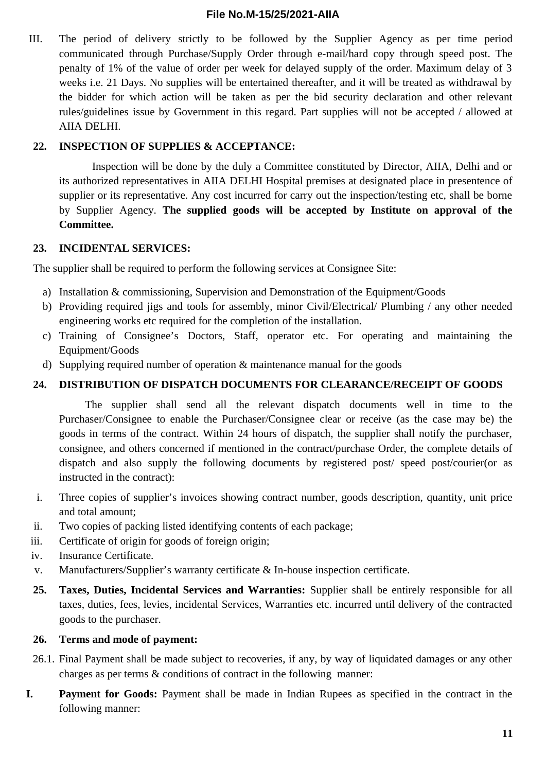III. The period of delivery strictly to be followed by the Supplier Agency as per time period communicated through Purchase/Supply Order through e-mail/hard copy through speed post. The penalty of 1% of the value of order per week for delayed supply of the order. Maximum delay of 3 weeks i.e. 21 Days. No supplies will be entertained thereafter, and it will be treated as withdrawal by the bidder for which action will be taken as per the bid security declaration and other relevant rules/guidelines issue by Government in this regard. Part supplies will not be accepted / allowed at AIIA DELHI.

#### **22. INSPECTION OF SUPPLIES & ACCEPTANCE:**

Inspection will be done by the duly a Committee constituted by Director, AIIA, Delhi and or its authorized representatives in AIIA DELHI Hospital premises at designated place in presentence of supplier or its representative. Any cost incurred for carry out the inspection/testing etc, shall be borne by Supplier Agency. **The supplied goods will be accepted by Institute on approval of the Committee.**

#### **23. INCIDENTAL SERVICES:**

The supplier shall be required to perform the following services at Consignee Site:

- a) Installation & commissioning, Supervision and Demonstration of the Equipment/Goods
- b) Providing required jigs and tools for assembly, minor Civil/Electrical/ Plumbing / any other needed engineering works etc required for the completion of the installation.
- c) Training of Consignee's Doctors, Staff, operator etc. For operating and maintaining the Equipment/Goods
- d) Supplying required number of operation & maintenance manual for the goods

#### **24. DISTRIBUTION OF DISPATCH DOCUMENTS FOR CLEARANCE/RECEIPT OF GOODS**

The supplier shall send all the relevant dispatch documents well in time to the Purchaser/Consignee to enable the Purchaser/Consignee clear or receive (as the case may be) the goods in terms of the contract. Within 24 hours of dispatch, the supplier shall notify the purchaser, consignee, and others concerned if mentioned in the contract/purchase Order, the complete details of dispatch and also supply the following documents by registered post/ speed post/courier(or as instructed in the contract):

- i. Three copies of supplier's invoices showing contract number, goods description, quantity, unit price and total amount;
- ii. Two copies of packing listed identifying contents of each package;
- iii. Certificate of origin for goods of foreign origin;
- iv. Insurance Certificate.
- v. Manufacturers/Supplier's warranty certificate & In-house inspection certificate.
- **25. Taxes, Duties, Incidental Services and Warranties:** Supplier shall be entirely responsible for all taxes, duties, fees, levies, incidental Services, Warranties etc. incurred until delivery of the contracted goods to the purchaser.

#### **26. Terms and mode of payment:**

- 26.1. Final Payment shall be made subject to recoveries, if any, by way of liquidated damages or any other charges as per terms & conditions of contract in the following manner:
- **I. Payment for Goods:** Payment shall be made in Indian Rupees as specified in the contract in the following manner: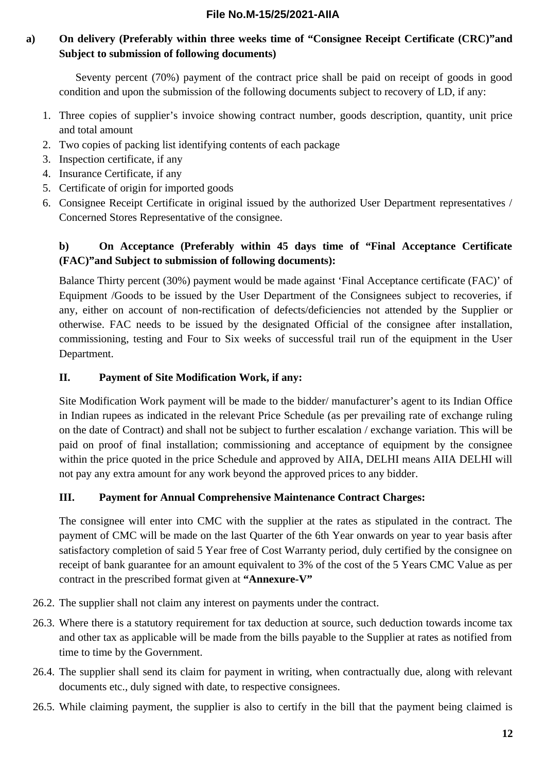### **a) On delivery (Preferably within three weeks time of "Consignee Receipt Certificate (CRC)"and Subject to submission of following documents)**

Seventy percent (70%) payment of the contract price shall be paid on receipt of goods in good condition and upon the submission of the following documents subject to recovery of LD, if any:

- 1. Three copies of supplier's invoice showing contract number, goods description, quantity, unit price and total amount
- 2. Two copies of packing list identifying contents of each package
- 3. Inspection certificate, if any
- 4. Insurance Certificate, if any
- 5. Certificate of origin for imported goods
- 6. Consignee Receipt Certificate in original issued by the authorized User Department representatives / Concerned Stores Representative of the consignee.

### **b) On Acceptance (Preferably within 45 days time of "Final Acceptance Certificate (FAC)"and Subject to submission of following documents):**

Balance Thirty percent (30%) payment would be made against 'Final Acceptance certificate (FAC)' of Equipment /Goods to be issued by the User Department of the Consignees subject to recoveries, if any, either on account of non-rectification of defects/deficiencies not attended by the Supplier or otherwise. FAC needs to be issued by the designated Official of the consignee after installation, commissioning, testing and Four to Six weeks of successful trail run of the equipment in the User Department.

### **II. Payment of Site Modification Work, if any:**

Site Modification Work payment will be made to the bidder/ manufacturer's agent to its Indian Office in Indian rupees as indicated in the relevant Price Schedule (as per prevailing rate of exchange ruling on the date of Contract) and shall not be subject to further escalation / exchange variation. This will be paid on proof of final installation; commissioning and acceptance of equipment by the consignee within the price quoted in the price Schedule and approved by AIIA, DELHI means AIIA DELHI will not pay any extra amount for any work beyond the approved prices to any bidder.

### **III. Payment for Annual Comprehensive Maintenance Contract Charges:**

The consignee will enter into CMC with the supplier at the rates as stipulated in the contract. The payment of CMC will be made on the last Quarter of the 6th Year onwards on year to year basis after satisfactory completion of said 5 Year free of Cost Warranty period, duly certified by the consignee on receipt of bank guarantee for an amount equivalent to 3% of the cost of the 5 Years CMC Value as per contract in the prescribed format given at **"Annexure-V"**

- 26.2. The supplier shall not claim any interest on payments under the contract.
- 26.3. Where there is a statutory requirement for tax deduction at source, such deduction towards income tax and other tax as applicable will be made from the bills payable to the Supplier at rates as notified from time to time by the Government.
- 26.4. The supplier shall send its claim for payment in writing, when contractually due, along with relevant documents etc., duly signed with date, to respective consignees.
- 26.5. While claiming payment, the supplier is also to certify in the bill that the payment being claimed is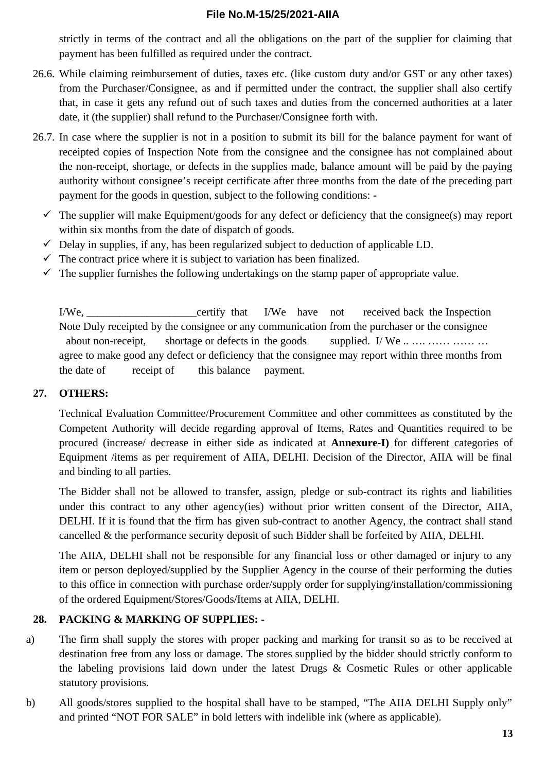strictly in terms of the contract and all the obligations on the part of the supplier for claiming that payment has been fulfilled as required under the contract.

- 26.6. While claiming reimbursement of duties, taxes etc. (like custom duty and/or GST or any other taxes) from the Purchaser/Consignee, as and if permitted under the contract, the supplier shall also certify that, in case it gets any refund out of such taxes and duties from the concerned authorities at a later date, it (the supplier) shall refund to the Purchaser/Consignee forth with.
- 26.7. In case where the supplier is not in a position to submit its bill for the balance payment for want of receipted copies of Inspection Note from the consignee and the consignee has not complained about the non-receipt, shortage, or defects in the supplies made, balance amount will be paid by the paying authority without consignee's receipt certificate after three months from the date of the preceding part payment for the goods in question, subject to the following conditions: -
	- $\checkmark$  The supplier will make Equipment/goods for any defect or deficiency that the consignee(s) may report within six months from the date of dispatch of goods.
	- $\checkmark$  Delay in supplies, if any, has been regularized subject to deduction of applicable LD.
	- $\checkmark$  The contract price where it is subject to variation has been finalized.
	- $\checkmark$  The supplier furnishes the following undertakings on the stamp paper of appropriate value.

I/We, the certify that I/We have not received back the Inspection Note Duly receipted by the consignee or any communication from the purchaser or the consignee about non-receipt, shortage or defects in the goods supplied. I/ We ... ... ... ... ... ... agree to make good any defect or deficiency that the consignee may report within three months from the date of receipt of this balance payment.

#### **27. OTHERS:**

Technical Evaluation Committee/Procurement Committee and other committees as constituted by the Competent Authority will decide regarding approval of Items, Rates and Quantities required to be procured (increase/ decrease in either side as indicated at **Annexure-I)** for different categories of Equipment /items as per requirement of AIIA, DELHI. Decision of the Director, AIIA will be final and binding to all parties.

The Bidder shall not be allowed to transfer, assign, pledge or sub-contract its rights and liabilities under this contract to any other agency(ies) without prior written consent of the Director, AIIA, DELHI. If it is found that the firm has given sub-contract to another Agency, the contract shall stand cancelled & the performance security deposit of such Bidder shall be forfeited by AIIA, DELHI.

The AIIA, DELHI shall not be responsible for any financial loss or other damaged or injury to any item or person deployed/supplied by the Supplier Agency in the course of their performing the duties to this office in connection with purchase order/supply order for supplying/installation/commissioning of the ordered Equipment/Stores/Goods/Items at AIIA, DELHI.

#### **28. PACKING & MARKING OF SUPPLIES: -**

- a) The firm shall supply the stores with proper packing and marking for transit so as to be received at destination free from any loss or damage. The stores supplied by the bidder should strictly conform to the labeling provisions laid down under the latest Drugs & Cosmetic Rules or other applicable statutory provisions.
- b) All goods/stores supplied to the hospital shall have to be stamped, "The AIIA DELHI Supply only" and printed "NOT FOR SALE" in bold letters with indelible ink (where as applicable).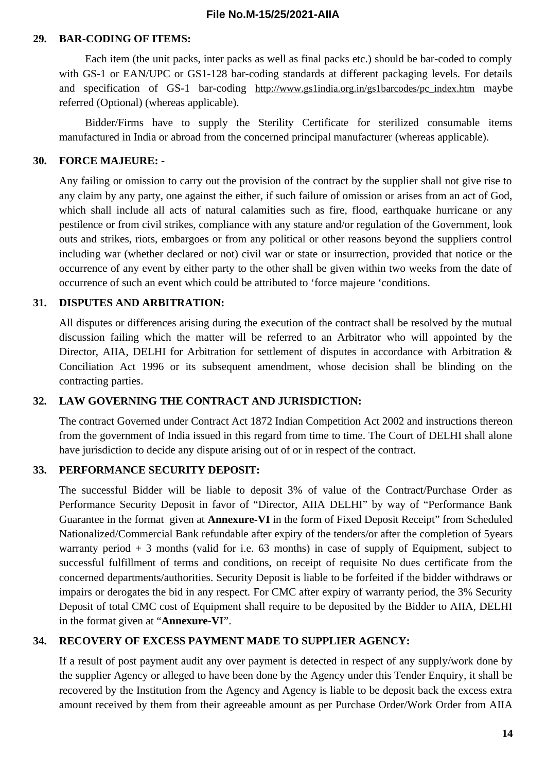#### **29. BAR-CODING OF ITEMS:**

Each item (the unit packs, inter packs as well as final packs etc.) should be bar-coded to comply with GS-1 or EAN/UPC or GS1-128 bar-coding standards at different packaging levels. For details and specification of GS-1 bar-coding http://www.gs1india.org.in/gs1barcodes/pc index.htm maybe referred (Optional) (whereas applicable).

Bidder/Firms have to supply the Sterility Certificate for sterilized consumable items manufactured in India or abroad from the concerned principal manufacturer (whereas applicable).

#### **30. FORCE MAJEURE: -**

Any failing or omission to carry out the provision of the contract by the supplier shall not give rise to any claim by any party, one against the either, if such failure of omission or arises from an act of God, which shall include all acts of natural calamities such as fire, flood, earthquake hurricane or any pestilence or from civil strikes, compliance with any stature and/or regulation of the Government, look outs and strikes, riots, embargoes or from any political or other reasons beyond the suppliers control including war (whether declared or not) civil war or state or insurrection, provided that notice or the occurrence of any event by either party to the other shall be given within two weeks from the date of occurrence of such an event which could be attributed to 'force majeure 'conditions.

#### **31. DISPUTES AND ARBITRATION:**

All disputes or differences arising during the execution of the contract shall be resolved by the mutual discussion failing which the matter will be referred to an Arbitrator who will appointed by the Director, AIIA, DELHI for Arbitration for settlement of disputes in accordance with Arbitration & Conciliation Act 1996 or its subsequent amendment, whose decision shall be blinding on the contracting parties.

#### **32. LAW GOVERNING THE CONTRACT AND JURISDICTION:**

The contract Governed under Contract Act 1872 Indian Competition Act 2002 and instructions thereon from the government of India issued in this regard from time to time. The Court of DELHI shall alone have jurisdiction to decide any dispute arising out of or in respect of the contract.

#### **33. PERFORMANCE SECURITY DEPOSIT:**

The successful Bidder will be liable to deposit 3% of value of the Contract/Purchase Order as Performance Security Deposit in favor of "Director, AIIA DELHI" by way of "Performance Bank Guarantee in the format given at **Annexure-VI** in the form of Fixed Deposit Receipt" from Scheduled Nationalized/Commercial Bank refundable after expiry of the tenders/or after the completion of 5years warranty period  $+3$  months (valid for i.e. 63 months) in case of supply of Equipment, subject to successful fulfillment of terms and conditions, on receipt of requisite No dues certificate from the concerned departments/authorities. Security Deposit is liable to be forfeited if the bidder withdraws or impairs or derogates the bid in any respect. For CMC after expiry of warranty period, the 3% Security Deposit of total CMC cost of Equipment shall require to be deposited by the Bidder to AIIA, DELHI in the format given at "**Annexure-VI**".

#### **34. RECOVERY OF EXCESS PAYMENT MADE TO SUPPLIER AGENCY:**

If a result of post payment audit any over payment is detected in respect of any supply/work done by the supplier Agency or alleged to have been done by the Agency under this Tender Enquiry, it shall be recovered by the Institution from the Agency and Agency is liable to be deposit back the excess extra amount received by them from their agreeable amount as per Purchase Order/Work Order from AIIA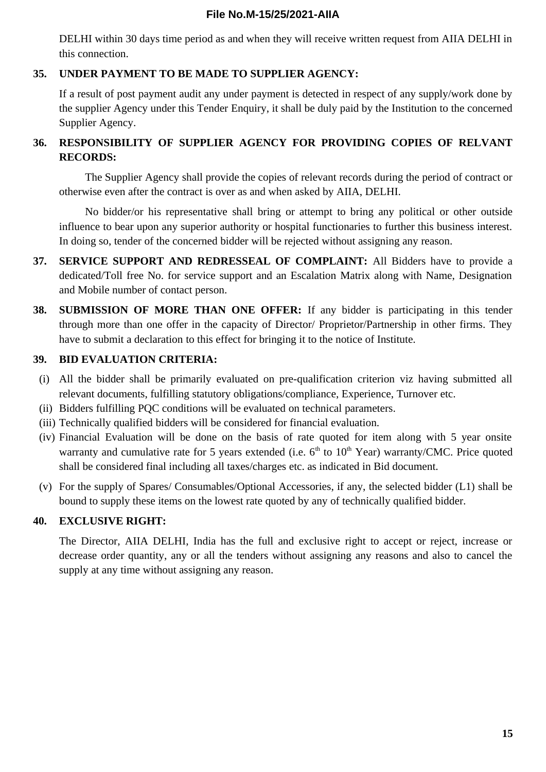DELHI within 30 days time period as and when they will receive written request from AIIA DELHI in this connection.

### **35. UNDER PAYMENT TO BE MADE TO SUPPLIER AGENCY:**

If a result of post payment audit any under payment is detected in respect of any supply/work done by the supplier Agency under this Tender Enquiry, it shall be duly paid by the Institution to the concerned Supplier Agency.

### **36. RESPONSIBILITY OF SUPPLIER AGENCY FOR PROVIDING COPIES OF RELVANT RECORDS:**

The Supplier Agency shall provide the copies of relevant records during the period of contract or otherwise even after the contract is over as and when asked by AIIA, DELHI.

No bidder/or his representative shall bring or attempt to bring any political or other outside influence to bear upon any superior authority or hospital functionaries to further this business interest. In doing so, tender of the concerned bidder will be rejected without assigning any reason.

- **37. SERVICE SUPPORT AND REDRESSEAL OF COMPLAINT:** All Bidders have to provide a dedicated/Toll free No. for service support and an Escalation Matrix along with Name, Designation and Mobile number of contact person.
- **38. SUBMISSION OF MORE THAN ONE OFFER:** If any bidder is participating in this tender through more than one offer in the capacity of Director/ Proprietor/Partnership in other firms. They have to submit a declaration to this effect for bringing it to the notice of Institute.

### **39. BID EVALUATION CRITERIA:**

- (i) All the bidder shall be primarily evaluated on pre-qualification criterion viz having submitted all relevant documents, fulfilling statutory obligations/compliance, Experience, Turnover etc.
- (ii) Bidders fulfilling PQC conditions will be evaluated on technical parameters.
- (iii) Technically qualified bidders will be considered for financial evaluation.
- (iv) Financial Evaluation will be done on the basis of rate quoted for item along with 5 year onsite warranty and cumulative rate for 5 years extended (i.e.  $6<sup>th</sup>$  to  $10<sup>th</sup>$  Year) warranty/CMC. Price quoted shall be considered final including all taxes/charges etc. as indicated in Bid document.
- (v) For the supply of Spares/ Consumables/Optional Accessories, if any, the selected bidder (L1) shall be bound to supply these items on the lowest rate quoted by any of technically qualified bidder.

### **40. EXCLUSIVE RIGHT:**

The Director, AIIA DELHI, India has the full and exclusive right to accept or reject, increase or decrease order quantity, any or all the tenders without assigning any reasons and also to cancel the supply at any time without assigning any reason.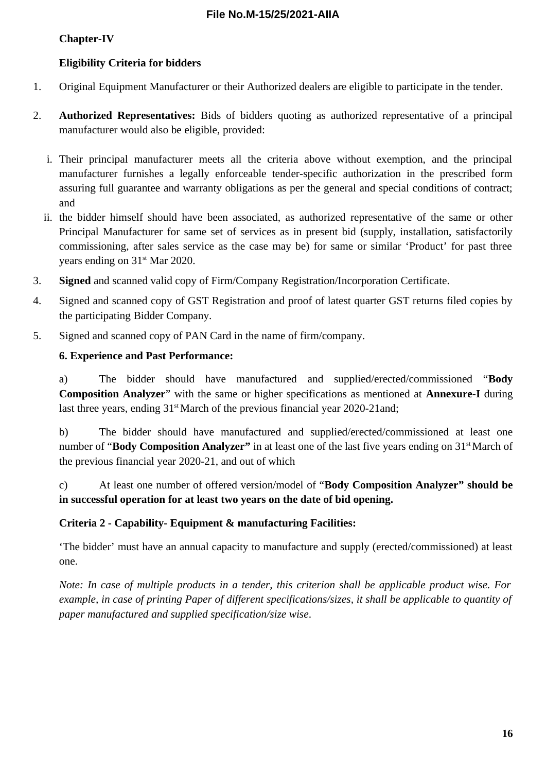### **Chapter-IV**

### **Eligibility Criteria for bidders**

- 1. Original Equipment Manufacturer or their Authorized dealers are eligible to participate in the tender.
- 2. **Authorized Representatives:** Bids of bidders quoting as authorized representative of a principal manufacturer would also be eligible, provided:
	- i. Their principal manufacturer meets all the criteria above without exemption, and the principal manufacturer furnishes a legally enforceable tender-specific authorization in the prescribed form assuring full guarantee and warranty obligations as per the general and special conditions of contract; and
	- ii. the bidder himself should have been associated, as authorized representative of the same or other Principal Manufacturer for same set of services as in present bid (supply, installation, satisfactorily commissioning, after sales service as the case may be) for same or similar 'Product' for past three years ending on 31<sup>st</sup> Mar 2020.
- 3. **Signed** and scanned valid copy of Firm/Company Registration/Incorporation Certificate.
- 4. Signed and scanned copy of GST Registration and proof of latest quarter GST returns filed copies by the participating Bidder Company.
- 5. Signed and scanned copy of PAN Card in the name of firm/company.

#### **6. Experience and Past Performance:**

a) The bidder should have manufactured and supplied/erected/commissioned "**Body Composition Analyzer**" with the same or higher specifications as mentioned at **Annexure-I** during last three years, ending  $31<sup>st</sup>$  March of the previous financial year 2020-21and;

b) The bidder should have manufactured and supplied/erected/commissioned at least one number of "**Body Composition Analyzer"** in at least one of the last five years ending on 31<sup>st</sup> March of the previous financial year 2020-21, and out of which

c) At least one number of offered version/model of "**Body Composition Analyzer" should be in successful operation for at least two years on the date of bid opening.**

#### **Criteria 2 - Capability- Equipment & manufacturing Facilities:**

'The bidder' must have an annual capacity to manufacture and supply (erected/commissioned) at least one.

*Note: In case of multiple products in a tender, this criterion shall be applicable product wise. For example, in case of printing Paper of different specifications/sizes, it shall be applicable to quantity of paper manufactured and supplied specification/size wise*.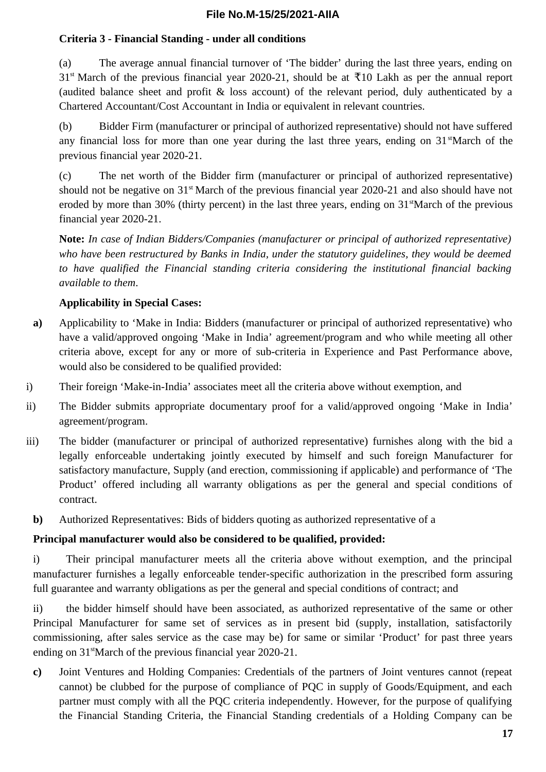### **Criteria 3 - Financial Standing - under all conditions**

(a) The average annual financial turnover of 'The bidder' during the last three years, ending on  $31<sup>st</sup>$  March of the previous financial year 2020-21, should be at  $\overline{5}10$  Lakh as per the annual report (audited balance sheet and profit & loss account) of the relevant period, duly authenticated by a Chartered Accountant/Cost Accountant in India or equivalent in relevant countries.

(b) Bidder Firm (manufacturer or principal of authorized representative) should not have suffered any financial loss for more than one year during the last three years, ending on  $31$ <sup>st</sup>March of the previous financial year 2020-21.

(c) The net worth of the Bidder firm (manufacturer or principal of authorized representative) should not be negative on 31<sup>st</sup> March of the previous financial year 2020-21 and also should have not eroded by more than 30% (thirty percent) in the last three years, ending on  $31<sup>st</sup>March$  of the previous financial year 2020-21.

**Note:** *In case of Indian Bidders/Companies (manufacturer or principal of authorized representative) who have been restructured by Banks in India, under the statutory guidelines, they would be deemed to have qualified the Financial standing criteria considering the institutional financial backing available to them*.

### **Applicability in Special Cases:**

- **a)** Applicability to 'Make in India: Bidders (manufacturer or principal of authorized representative) who have a valid/approved ongoing 'Make in India' agreement/program and who while meeting all other criteria above, except for any or more of sub-criteria in Experience and Past Performance above, would also be considered to be qualified provided:
- i) Their foreign 'Make-in-India' associates meet all the criteria above without exemption, and
- ii) The Bidder submits appropriate documentary proof for a valid/approved ongoing 'Make in India' agreement/program.
- iii) The bidder (manufacturer or principal of authorized representative) furnishes along with the bid a legally enforceable undertaking jointly executed by himself and such foreign Manufacturer for satisfactory manufacture, Supply (and erection, commissioning if applicable) and performance of 'The Product' offered including all warranty obligations as per the general and special conditions of contract.
	- **b)** Authorized Representatives: Bids of bidders quoting as authorized representative of a

#### **Principal manufacturer would also be considered to be qualified, provided:**

i) Their principal manufacturer meets all the criteria above without exemption, and the principal manufacturer furnishes a legally enforceable tender-specific authorization in the prescribed form assuring full guarantee and warranty obligations as per the general and special conditions of contract; and

ii) the bidder himself should have been associated, as authorized representative of the same or other Principal Manufacturer for same set of services as in present bid (supply, installation, satisfactorily commissioning, after sales service as the case may be) for same or similar 'Product' for past three years ending on 31<sup>st</sup>March of the previous financial year 2020-21.

**c)** Joint Ventures and Holding Companies: Credentials of the partners of Joint ventures cannot (repeat cannot) be clubbed for the purpose of compliance of PQC in supply of Goods/Equipment, and each partner must comply with all the PQC criteria independently. However, for the purpose of qualifying the Financial Standing Criteria, the Financial Standing credentials of a Holding Company can be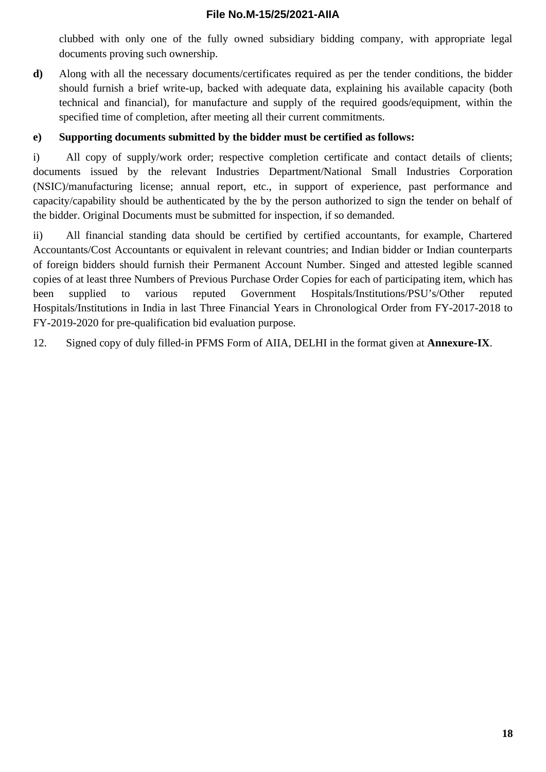clubbed with only one of the fully owned subsidiary bidding company, with appropriate legal documents proving such ownership.

**d)** Along with all the necessary documents/certificates required as per the tender conditions, the bidder should furnish a brief write-up, backed with adequate data, explaining his available capacity (both technical and financial), for manufacture and supply of the required goods/equipment, within the specified time of completion, after meeting all their current commitments.

### **e) Supporting documents submitted by the bidder must be certified as follows:**

i) All copy of supply/work order; respective completion certificate and contact details of clients; documents issued by the relevant Industries Department/National Small Industries Corporation (NSIC)/manufacturing license; annual report, etc., in support of experience, past performance and capacity/capability should be authenticated by the by the person authorized to sign the tender on behalf of the bidder. Original Documents must be submitted for inspection, if so demanded.

ii) All financial standing data should be certified by certified accountants, for example, Chartered Accountants/Cost Accountants or equivalent in relevant countries; and Indian bidder or Indian counterparts of foreign bidders should furnish their Permanent Account Number. Singed and attested legible scanned copies of at least three Numbers of Previous Purchase Order Copies for each of participating item, which has been supplied to various reputed Government Hospitals/Institutions/PSU's/Other reputed Hospitals/Institutions in India in last Three Financial Years in Chronological Order from FY-2017-2018 to FY-2019-2020 for pre-qualification bid evaluation purpose.

12. Signed copy of duly filled-in PFMS Form of AIIA, DELHI in the format given at **Annexure-IX**.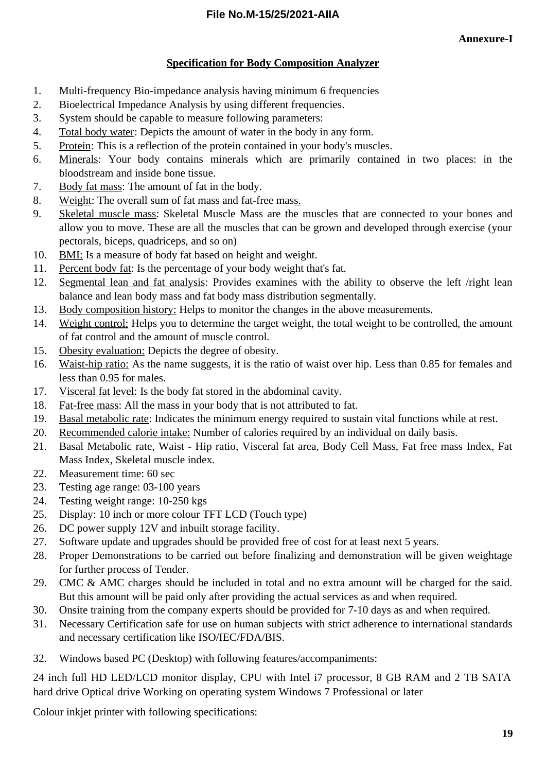### **Specification for Body Composition Analyzer**

- 1. Multi-frequency Bio-impedance analysis having minimum 6 frequencies
- 2. Bioelectrical Impedance Analysis by using different frequencies.
- 3. System should be capable to measure following parameters:
- 4. Total body water: Depicts the amount of water in the body in any form.
- 5. Protein: This is a reflection of the protein contained in your body's muscles.
- 6. Minerals: Your body contains minerals which are primarily contained in two places: in the bloodstream and inside bone tissue.
- 7. Body fat mass: The amount of fat in the body.
- 8. Weight: The overall sum of fat mass and fat-free mass.
- 9. Skeletal muscle mass: Skeletal Muscle Mass are the muscles that are connected to your bones and allow you to move. These are all the muscles that can be grown and developed through exercise (your pectorals, biceps, quadriceps, and so on)
- 10. BMI: Is a measure of body fat based on height and weight.
- 11. Percent body fat: Is the percentage of your body weight that's fat.
- 12. Segmental lean and fat analysis: Provides examines with the ability to observe the left /right lean balance and lean body mass and fat body mass distribution segmentally.
- 13. Body composition history: Helps to monitor the changes in the above measurements.
- 14. Weight control: Helps you to determine the target weight, the total weight to be controlled, the amount of fat control and the amount of muscle control.
- 15. Obesity evaluation: Depicts the degree of obesity.
- 16. Waist-hip ratio: As the name suggests, it is the ratio of waist over hip. Less than 0.85 for females and less than 0.95 for males.
- 17. Visceral fat level: Is the body fat stored in the abdominal cavity.
- 18. Fat-free mass: All the mass in your body that is not attributed to fat.
- 19. Basal metabolic rate: Indicates the minimum energy required to sustain vital functions while at rest.
- 20. Recommended calorie intake: Number of calories required by an individual on daily basis.
- 21. Basal Metabolic rate, Waist Hip ratio, Visceral fat area, Body Cell Mass, Fat free mass Index, Fat Mass Index, Skeletal muscle index.
- 22. Measurement time: 60 sec
- 23. Testing age range: 03-100 years
- 24. Testing weight range: 10-250 kgs
- 25. Display: 10 inch or more colour TFT LCD (Touch type)
- 26. DC power supply 12V and inbuilt storage facility.
- 27. Software update and upgrades should be provided free of cost for at least next 5 years.
- 28. Proper Demonstrations to be carried out before finalizing and demonstration will be given weightage for further process of Tender.
- 29. CMC & AMC charges should be included in total and no extra amount will be charged for the said. But this amount will be paid only after providing the actual services as and when required.
- 30. Onsite training from the company experts should be provided for 7-10 days as and when required.
- 31. Necessary Certification safe for use on human subjects with strict adherence to international standards and necessary certification like ISO/IEC/FDA/BIS.
- 32. Windows based PC (Desktop) with following features/accompaniments:

24 inch full HD LED/LCD monitor display, CPU with Intel i7 processor, 8 GB RAM and 2 TB SATA hard drive Optical drive Working on operating system Windows 7 Professional or later

Colour inkjet printer with following specifications: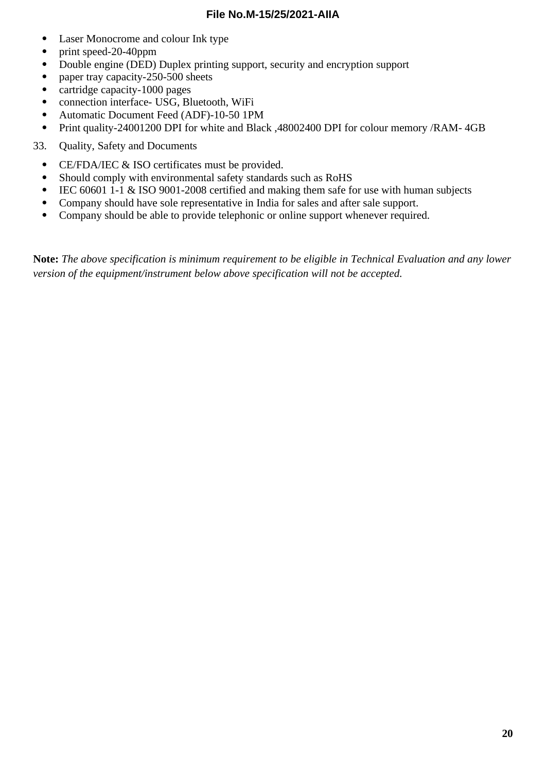- Laser Monocrome and colour Ink type
- print speed-20-40ppm
- Double engine (DED) Duplex printing support, security and encryption support
- paper tray capacity-250-500 sheets
- cartridge capacity-1000 pages
- connection interface- USG, Bluetooth, WiFi
- Automatic Document Feed (ADF)-10-50 1PM
- Print quality-24001200 DPI for white and Black ,48002400 DPI for colour memory /RAM- 4GB
- 33. Quality, Safety and Documents
	- CE/FDA/IEC & ISO certificates must be provided.
	- Should comply with environmental safety standards such as RoHS
	- IEC 60601 1-1 & ISO 9001-2008 certified and making them safe for use with human subjects
	- Company should have sole representative in India for sales and after sale support.
	- Company should be able to provide telephonic or online support whenever required.

**Note:** *The above specification is minimum requirement to be eligible in Technical Evaluation and any lower version of the equipment/instrument below above specification will not be accepted.*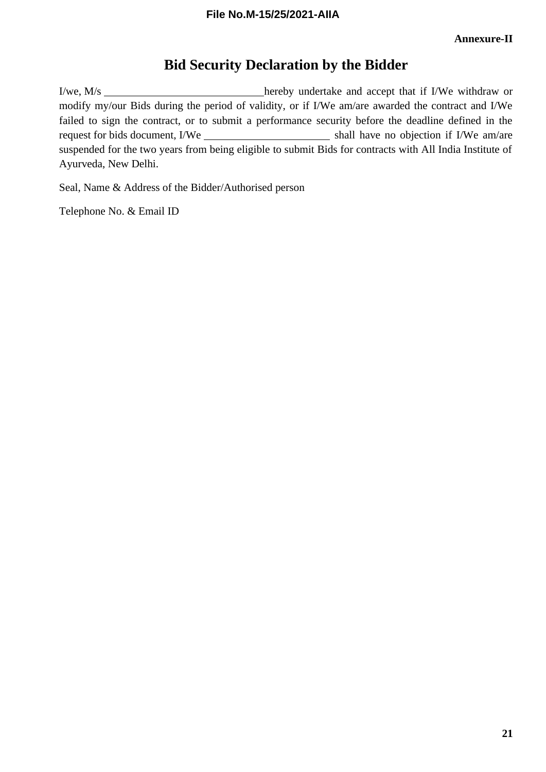## **Bid Security Declaration by the Bidder**

I/we, M/s modify my/our Bids during the period of validity, or if I/We am/are awarded the contract and I/We failed to sign the contract, or to submit a performance security before the deadline defined in the request for bids document, I/We shall have no objection if I/We am/are suspended for the two years from being eligible to submit Bids for contracts with All India Institute of Ayurveda, New Delhi.

Seal, Name & Address of the Bidder/Authorised person

Telephone No. & Email ID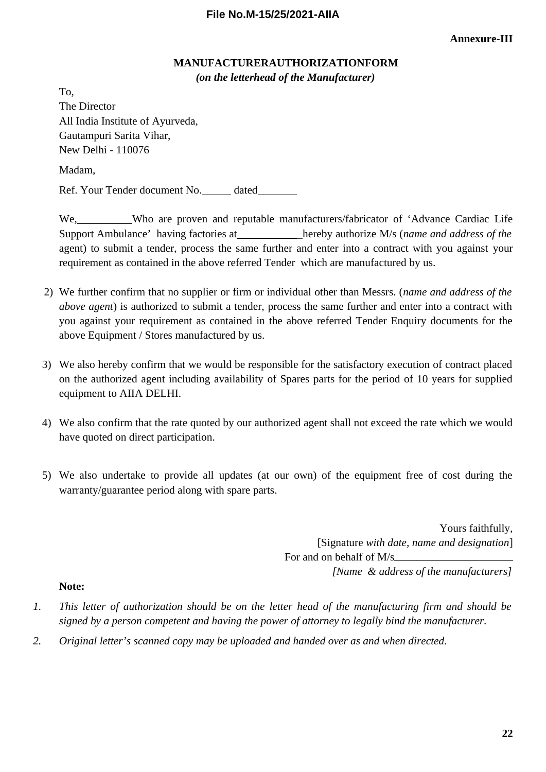### **MANUFACTURERAUTHORIZATIONFORM** *(on the letterhead of the Manufacturer)*

To, The Director All India Institute of Ayurveda, Gautampuri Sarita Vihar, New Delhi - 110076 Madam, Ref. Your Tender document No. \_\_\_\_\_ dated\_\_\_\_\_\_\_

We, Who are proven and reputable manufacturers/fabricator of 'Advance Cardiac Life Support Ambulance' having factories at **hereby authorize M/s (name and address of the** agent) to submit a tender, process the same further and enter into a contract with you against your requirement as contained in the above referred Tender which are manufactured by us.

- 2) We further confirm that no supplier or firm or individual other than Messrs. (*name and address of the above agent*) is authorized to submit a tender, process the same further and enter into a contract with you against your requirement as contained in the above referred Tender Enquiry documents for the above Equipment / Stores manufactured by us.
- 3) We also hereby confirm that we would be responsible for the satisfactory execution of contract placed on the authorized agent including availability of Spares parts for the period of 10 years for supplied equipment to AIIA DELHI.
- 4) We also confirm that the rate quoted by our authorized agent shall not exceed the rate which we would have quoted on direct participation.
- 5) We also undertake to provide all updates (at our own) of the equipment free of cost during the warranty/guarantee period along with spare parts.

Yours faithfully, [Signature *with date, name and designation*] For and on behalf of M/s *[Name & address of the manufacturers]*

#### **Note:**

- *1. This letter of authorization should be on the letter head of the manufacturing firm and should be signed by a person competent and having the power of attorney to legally bind the manufacturer.*
- *2. Original letter's scanned copy may be uploaded and handed over as and when directed.*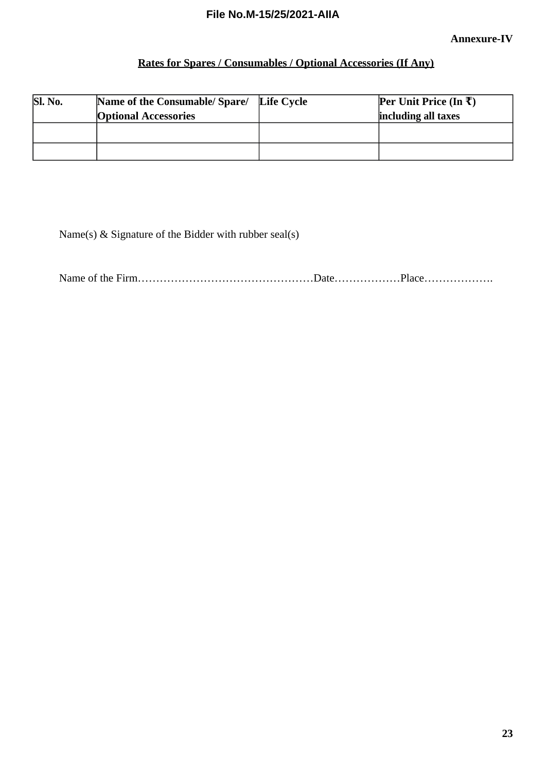## **Rates for Spares / Consumables / Optional Accessories (If Any)**

| Sl. No. | Name of the Consumable/ Spare/ | Life Cycle | <b>Per Unit Price (In <math>\bar{x}</math>)</b> |
|---------|--------------------------------|------------|-------------------------------------------------|
|         | <b>Optional Accessories</b>    |            | including all taxes                             |
|         |                                |            |                                                 |
|         |                                |            |                                                 |
|         |                                |            |                                                 |

Name(s) & Signature of the Bidder with rubber seal(s)

Name of the Firm…………………………………………Date………………Place……………….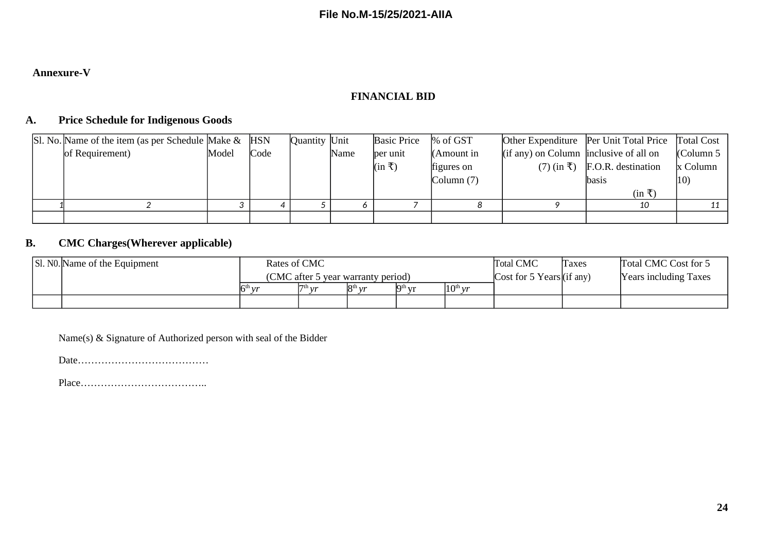### **Annexure-V**

### **FINANCIAL BID**

#### **A. Price Schedule for Indigenous Goods**

|  | Sl. No. Name of the item (as per Schedule Make & HSN |       |      | Quantity  Unit |      | <b>Basic Price</b>          | $%$ of GST    |                                             | Other Expenditure   Per Unit Total Price   Total Cost |              |
|--|------------------------------------------------------|-------|------|----------------|------|-----------------------------|---------------|---------------------------------------------|-------------------------------------------------------|--------------|
|  | of Requirement)                                      | Model | Code |                | Name | ber unit                    | $(Am$ ount in | $(i$ f any) on Column   inclusive of all on |                                                       | Column 5     |
|  |                                                      |       |      |                |      | $(\text{in } \overline{z})$ | figures on    |                                             | $(7)$ (in $\bar{x}$ ) F.O.R. destination              | x Column     |
|  |                                                      |       |      |                |      |                             | Column(7)     |                                             | lbasis                                                | $ 10\rangle$ |
|  |                                                      |       |      |                |      |                             |               |                                             | $(in \bar{t})$                                        |              |
|  |                                                      |       |      |                |      |                             |               |                                             | 10                                                    |              |
|  |                                                      |       |      |                |      |                             |               |                                             |                                                       |              |

### **B. CMC Charges(Wherever applicable)**

|  | Sl. No. Name of the Equipment | Rates of CMC                       |           |                  |                                           | <b>Total CMC</b>          | <b>Taxes</b> | Total CMC Cost for 5         |  |
|--|-------------------------------|------------------------------------|-----------|------------------|-------------------------------------------|---------------------------|--------------|------------------------------|--|
|  |                               | (CMC after 5 year warranty period) |           |                  |                                           | Cost for 5 Years (if any) |              | <b>Years including Taxes</b> |  |
|  |                               | $5^{\text{th}}$ vr                 | $7th_{1}$ | $R^{th}$ $\nu r$ | $\mathbf{q}$ <sup>th</sup> $\mathbf{v}$ r | $10^{th}$ vr              |              |                              |  |
|  |                               |                                    |           |                  |                                           |                           |              |                              |  |

Name(s) & Signature of Authorized person with seal of the Bidder

Date…………………………………

Place………………………………..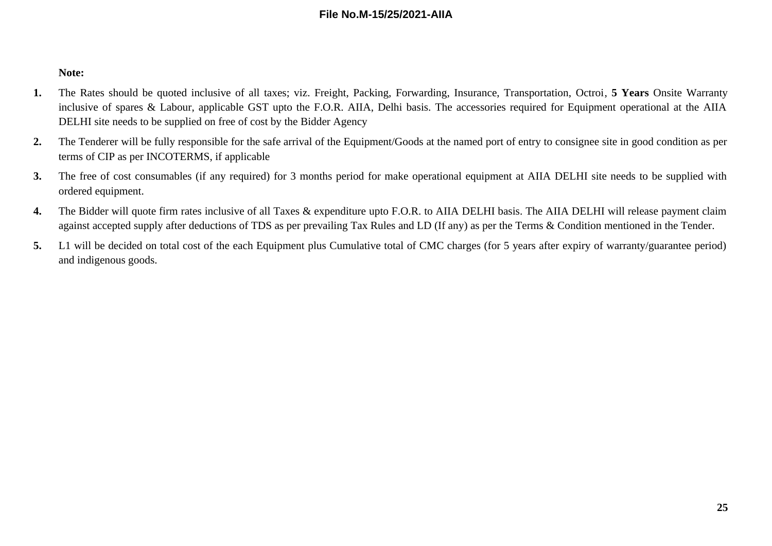#### **Note:**

- **1.** The Rates should be quoted inclusive of all taxes; viz. Freight, Packing, Forwarding, Insurance, Transportation, Octroi, **5 Years** Onsite Warranty inclusive of spares & Labour, applicable GST upto the F.O.R. AIIA, Delhi basis. The accessories required for Equipment operational at the AIIA DELHI site needs to be supplied on free of cost by the Bidder Agency
- **2.** The Tenderer will be fully responsible for the safe arrival of the Equipment/Goods at the named port of entry to consignee site in good condition as per terms of CIP as per INCOTERMS, if applicable
- **3.** The free of cost consumables (if any required) for 3 months period for make operational equipment at AIIA DELHI site needs to be supplied with ordered equipment.
- **4.** The Bidder will quote firm rates inclusive of all Taxes & expenditure upto F.O.R. to AIIA DELHI basis. The AIIA DELHI will release payment claim against accepted supply after deductions of TDS as per prevailing Tax Rules and LD (If any) as per the Terms & Condition mentioned in the Tender.
- **5.** L1 will be decided on total cost of the each Equipment plus Cumulative total of CMC charges (for 5 years after expiry of warranty/guarantee period) and indigenous goods.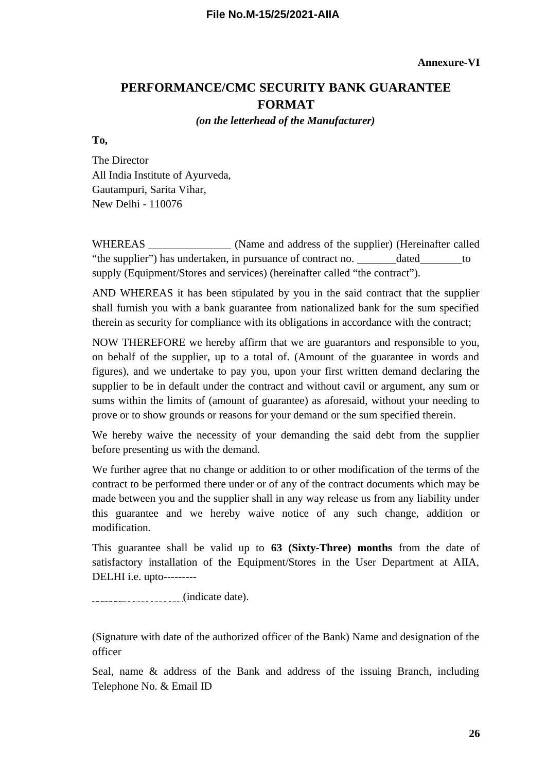## **PERFORMANCE/CMC SECURITY BANK GUARANTEE FORMAT**

### *(on the letterhead of the Manufacturer)*

**To,**

The Director All India Institute of Ayurveda, Gautampuri, Sarita Vihar, New Delhi - 110076

WHEREAS \_\_\_\_\_\_\_\_\_\_\_\_\_\_\_\_\_ (Name and address of the supplier) (Hereinafter called "the supplier") has undertaken, in pursuance of contract no. dated to supply (Equipment/Stores and services) (hereinafter called "the contract").

AND WHEREAS it has been stipulated by you in the said contract that the supplier shall furnish you with a bank guarantee from nationalized bank for the sum specified therein as security for compliance with its obligations in accordance with the contract;

NOW THEREFORE we hereby affirm that we are guarantors and responsible to you, on behalf of the supplier, up to a total of. (Amount of the guarantee in words and figures), and we undertake to pay you, upon your first written demand declaring the supplier to be in default under the contract and without cavil or argument, any sum or sums within the limits of (amount of guarantee) as aforesaid, without your needing to prove or to show grounds or reasons for your demand or the sum specified therein.

We hereby waive the necessity of your demanding the said debt from the supplier before presenting us with the demand.

We further agree that no change or addition to or other modification of the terms of the contract to be performed there under or of any of the contract documents which may be made between you and the supplier shall in any way release us from any liability under this guarantee and we hereby waive notice of any such change, addition or modification.

This guarantee shall be valid up to **63 (Sixty-Three) months** from the date of satisfactory installation of the Equipment/Stores in the User Department at AIIA, DELHI i.e. upto---------

(indicate date).

(Signature with date of the authorized officer of the Bank) Name and designation of the officer

Seal, name & address of the Bank and address of the issuing Branch, including Telephone No. & Email ID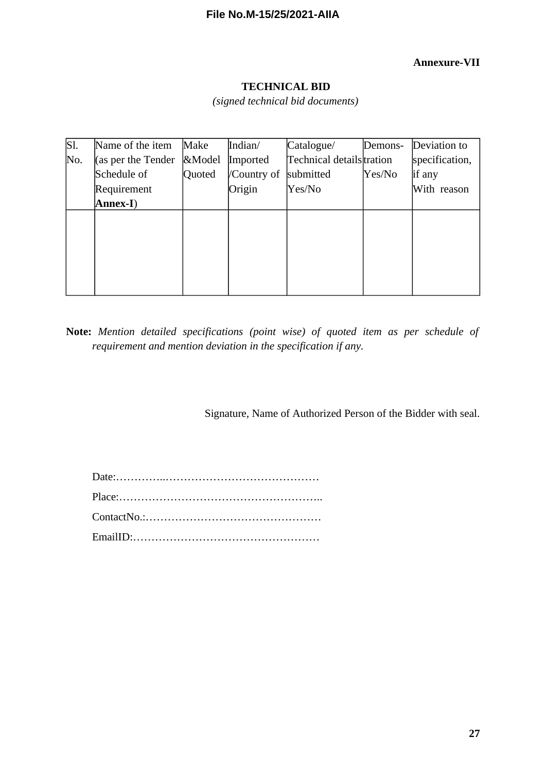#### **Annexure-VII**

### **TECHNICAL BID** *(signed technical bid documents)*

| $\overline{\text{SI.}}$ | Name of the item   | Make   | Indian/     | Catalogue/               | Demons- | Deviation to   |
|-------------------------|--------------------|--------|-------------|--------------------------|---------|----------------|
| No.                     | (as per the Tender | &Model | Imported    | Technical detailstration |         | specification, |
|                         | Schedule of        | Quoted | /Country of | submitted                | Yes/No  | if any         |
|                         | Requirement        |        | Origin      | Yes/No                   |         | With reason    |
|                         | Annex-I)           |        |             |                          |         |                |
|                         |                    |        |             |                          |         |                |
|                         |                    |        |             |                          |         |                |
|                         |                    |        |             |                          |         |                |
|                         |                    |        |             |                          |         |                |
|                         |                    |        |             |                          |         |                |
|                         |                    |        |             |                          |         |                |

**Note:** *Mention detailed specifications (point wise) of quoted item as per schedule of requirement and mention deviation in the specification if any.*

Signature, Name of Authorized Person of the Bidder with seal.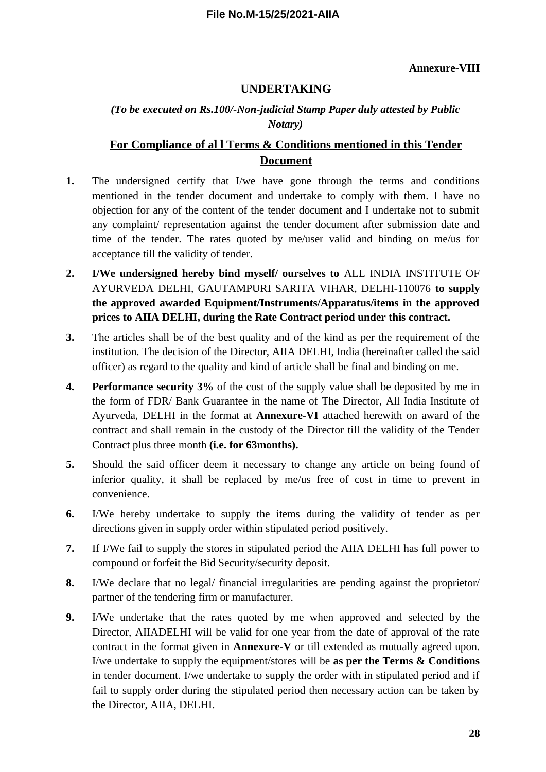#### **Annexure-VIII**

### **UNDERTAKING**

### *(To be executed on Rs.100/-Non-judicial Stamp Paper duly attested by Public Notary)*

### **For Compliance of al l Terms & Conditions mentioned in this Tender Document**

- **1.** The undersigned certify that I/we have gone through the terms and conditions mentioned in the tender document and undertake to comply with them. I have no objection for any of the content of the tender document and I undertake not to submit any complaint/ representation against the tender document after submission date and time of the tender. The rates quoted by me/user valid and binding on me/us for acceptance till the validity of tender.
- **2. I/We undersigned hereby bind myself/ ourselves to** ALL INDIA INSTITUTE OF AYURVEDA DELHI, GAUTAMPURI SARITA VIHAR, DELHI-110076 **to supply the approved awarded Equipment/Instruments/Apparatus/items in the approved prices to AIIA DELHI, during the Rate Contract period under this contract.**
- **3.** The articles shall be of the best quality and of the kind as per the requirement of the institution. The decision of the Director, AIIA DELHI, India (hereinafter called the said officer) as regard to the quality and kind of article shall be final and binding on me.
- **4. Performance security 3%** of the cost of the supply value shall be deposited by me in the form of FDR/ Bank Guarantee in the name of The Director, All India Institute of Ayurveda, DELHI in the format at **Annexure-VI** attached herewith on award of the contract and shall remain in the custody of the Director till the validity of the Tender Contract plus three month **(i.e. for 63months).**
- **5.** Should the said officer deem it necessary to change any article on being found of inferior quality, it shall be replaced by me/us free of cost in time to prevent in convenience.
- **6.** I/We hereby undertake to supply the items during the validity of tender as per directions given in supply order within stipulated period positively.
- **7.** If I/We fail to supply the stores in stipulated period the AIIA DELHI has full power to compound or forfeit the Bid Security/security deposit.
- **8.** I/We declare that no legal/ financial irregularities are pending against the proprietor/ partner of the tendering firm or manufacturer.
- **9.** I/We undertake that the rates quoted by me when approved and selected by the Director, AIIADELHI will be valid for one year from the date of approval of the rate contract in the format given in **Annexure-V** or till extended as mutually agreed upon. I/we undertake to supply the equipment/stores will be **as per the Terms & Conditions** in tender document. I/we undertake to supply the order with in stipulated period and if fail to supply order during the stipulated period then necessary action can be taken by the Director, AIIA, DELHI.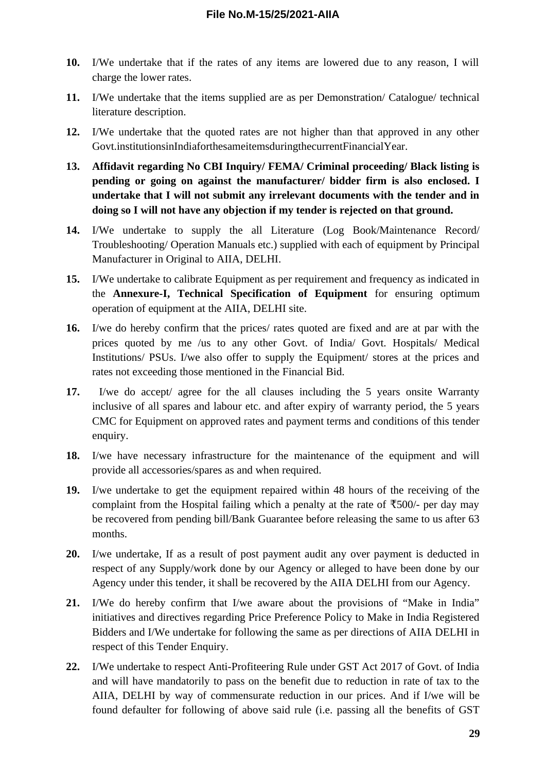- **10.** I/We undertake that if the rates of any items are lowered due to any reason, I will charge the lower rates.
- **11.** I/We undertake that the items supplied are as per Demonstration/ Catalogue/ technical literature description.
- **12.** I/We undertake that the quoted rates are not higher than that approved in any other Govt.institutionsinIndiaforthesameitemsduringthecurrentFinancialYear.
- **13. Affidavit regarding No CBI Inquiry/ FEMA/ Criminal proceeding/ Black listing is pending or going on against the manufacturer/ bidder firm is also enclosed. I undertake that I will not submit any irrelevant documents with the tender and in doing so I will not have any objection if my tender is rejected on that ground.**
- **14.** I/We undertake to supply the all Literature (Log Book/Maintenance Record/ Troubleshooting/ Operation Manuals etc.) supplied with each of equipment by Principal Manufacturer in Original to AIIA, DELHI.
- **15.** I/We undertake to calibrate Equipment as per requirement and frequency as indicated in the **Annexure-I, Technical Specification of Equipment** for ensuring optimum operation of equipment at the AIIA, DELHI site.
- **16.** I/we do hereby confirm that the prices/ rates quoted are fixed and are at par with the prices quoted by me /us to any other Govt. of India/ Govt. Hospitals/ Medical Institutions/ PSUs. I/we also offer to supply the Equipment/ stores at the prices and rates not exceeding those mentioned in the Financial Bid.
- **17.** I/we do accept/ agree for the all clauses including the 5 years onsite Warranty inclusive of all spares and labour etc. and after expiry of warranty period, the 5 years CMC for Equipment on approved rates and payment terms and conditions of this tender enquiry.
- **18.** I/we have necessary infrastructure for the maintenance of the equipment and will provide all accessories/spares as and when required.
- **19.** I/we undertake to get the equipment repaired within 48 hours of the receiving of the complaint from the Hospital failing which a penalty at the rate of  $\overline{\text{500}}$ /- per day may be recovered from pending bill/Bank Guarantee before releasing the same to us after 63 months.
- **20.** I/we undertake, If as a result of post payment audit any over payment is deducted in respect of any Supply/work done by our Agency or alleged to have been done by our Agency under this tender, it shall be recovered by the AIIA DELHI from our Agency.
- **21.** I/We do hereby confirm that I/we aware about the provisions of "Make in India" initiatives and directives regarding Price Preference Policy to Make in India Registered Bidders and I/We undertake for following the same as per directions of AIIA DELHI in respect of this Tender Enquiry.
- **22.** I/We undertake to respect Anti-Profiteering Rule under GST Act 2017 of Govt. of India and will have mandatorily to pass on the benefit due to reduction in rate of tax to the AIIA, DELHI by way of commensurate reduction in our prices. And if I/we will be found defaulter for following of above said rule (i.e. passing all the benefits of GST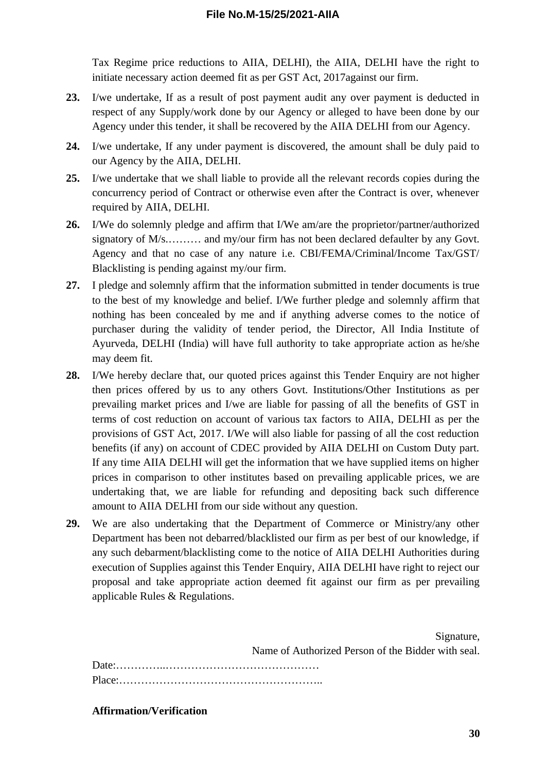Tax Regime price reductions to AIIA, DELHI), the AIIA, DELHI have the right to initiate necessary action deemed fit as per GST Act, 2017against our firm.

- **23.** I/we undertake, If as a result of post payment audit any over payment is deducted in respect of any Supply/work done by our Agency or alleged to have been done by our Agency under this tender, it shall be recovered by the AIIA DELHI from our Agency.
- **24.** I/we undertake, If any under payment is discovered, the amount shall be duly paid to our Agency by the AIIA, DELHI.
- **25.** I/we undertake that we shall liable to provide all the relevant records copies during the concurrency period of Contract or otherwise even after the Contract is over, whenever required by AIIA, DELHI.
- **26.** I/We do solemnly pledge and affirm that I/We am/are the proprietor/partner/authorized signatory of M/s.......... and my/our firm has not been declared defaulter by any Govt. Agency and that no case of any nature i.e. CBI/FEMA/Criminal/Income Tax/GST/ Blacklisting is pending against my/our firm.
- **27.** I pledge and solemnly affirm that the information submitted in tender documents is true to the best of my knowledge and belief. I/We further pledge and solemnly affirm that nothing has been concealed by me and if anything adverse comes to the notice of purchaser during the validity of tender period, the Director, All India Institute of Ayurveda, DELHI (India) will have full authority to take appropriate action as he/she may deem fit.
- **28.** I/We hereby declare that, our quoted prices against this Tender Enquiry are not higher then prices offered by us to any others Govt. Institutions/Other Institutions as per prevailing market prices and I/we are liable for passing of all the benefits of GST in terms of cost reduction on account of various tax factors to AIIA, DELHI as per the provisions of GST Act, 2017. I/We will also liable for passing of all the cost reduction benefits (if any) on account of CDEC provided by AIIA DELHI on Custom Duty part. If any time AIIA DELHI will get the information that we have supplied items on higher prices in comparison to other institutes based on prevailing applicable prices, we are undertaking that, we are liable for refunding and depositing back such difference amount to AIIA DELHI from our side without any question.
- **29.** We are also undertaking that the Department of Commerce or Ministry/any other Department has been not debarred/blacklisted our firm as per best of our knowledge, if any such debarment/blacklisting come to the notice of AIIA DELHI Authorities during execution of Supplies against this Tender Enquiry, AIIA DELHI have right to reject our proposal and take appropriate action deemed fit against our firm as per prevailing applicable Rules & Regulations.

| Signature,                                         |
|----------------------------------------------------|
| Name of Authorized Person of the Bidder with seal. |
|                                                    |
|                                                    |

#### **Affirmation/Verification**